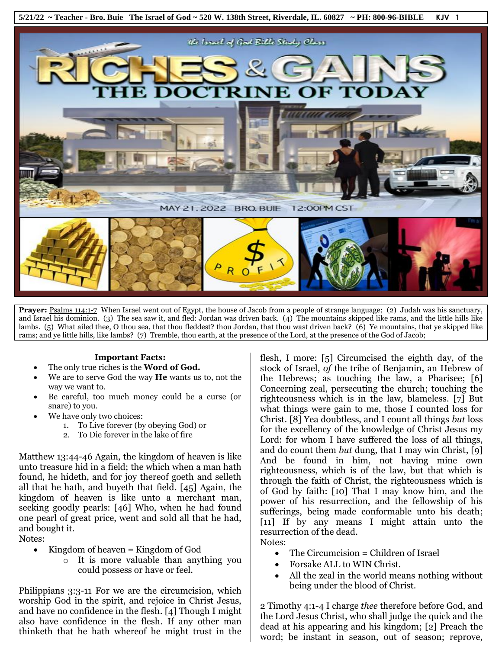

Prayer: Psalms 114:1-7 When Israel went out of Egypt, the house of Jacob from a people of strange language; (2) Judah was his sanctuary, and Israel his dominion. (3) The sea saw it, and fled: Jordan was driven back. (4) The mountains skipped like rams, and the little hills like lambs. (5) What ailed thee, O thou sea, that thou fleddest? thou Jordan, that thou wast driven back? (6) Ye mountains, that ye skipped like rams; and ye little hills, like lambs? (7) Tremble, thou earth, at the presence of the Lord, at the presence of the God of Jacob;

## **Important Facts:**

- The only true riches is the **Word of God.**
- We are to serve God the way **He** wants us to, not the way we want to.
- Be careful, too much money could be a curse (or snare) to you.
- We have only two choices:
	- 1. To Live forever (by obeying God) or
	- 2. To Die forever in the lake of fire

Matthew 13:44-46 Again, the kingdom of heaven is like unto treasure hid in a field; the which when a man hath found, he hideth, and for joy thereof goeth and selleth all that he hath, and buyeth that field. [45] Again, the kingdom of heaven is like unto a merchant man, seeking goodly pearls: [46] Who, when he had found one pearl of great price, went and sold all that he had, and bought it. Notes:

- Kingdom of heaven = Kingdom of God
	- o It is more valuable than anything you could possess or have or feel.

Philippians 3:3-11 For we are the circumcision, which worship God in the spirit, and rejoice in Christ Jesus, and have no confidence in the flesh. [4] Though I might also have confidence in the flesh. If any other man thinketh that he hath whereof he might trust in the

flesh, I more: [5] Circumcised the eighth day, of the stock of Israel, *of* the tribe of Benjamin, an Hebrew of the Hebrews; as touching the law, a Pharisee; [6] Concerning zeal, persecuting the church; touching the righteousness which is in the law, blameless. [7] But what things were gain to me, those I counted loss for Christ. [8] Yea doubtless, and I count all things *but* loss for the excellency of the knowledge of Christ Jesus my Lord: for whom I have suffered the loss of all things, and do count them *but* dung, that I may win Christ, [9] And be found in him, not having mine own righteousness, which is of the law, but that which is through the faith of Christ, the righteousness which is of God by faith: [10] That I may know him, and the power of his resurrection, and the fellowship of his sufferings, being made conformable unto his death; [11] If by any means I might attain unto the resurrection of the dead. Notes:

- The Circumcision = Children of Israel
- Forsake ALL to WIN Christ.
- All the zeal in the world means nothing without being under the blood of Christ.

2 Timothy 4:1-4 I charge *thee* therefore before God, and the Lord Jesus Christ, who shall judge the quick and the dead at his appearing and his kingdom; [2] Preach the word; be instant in season, out of season; reprove,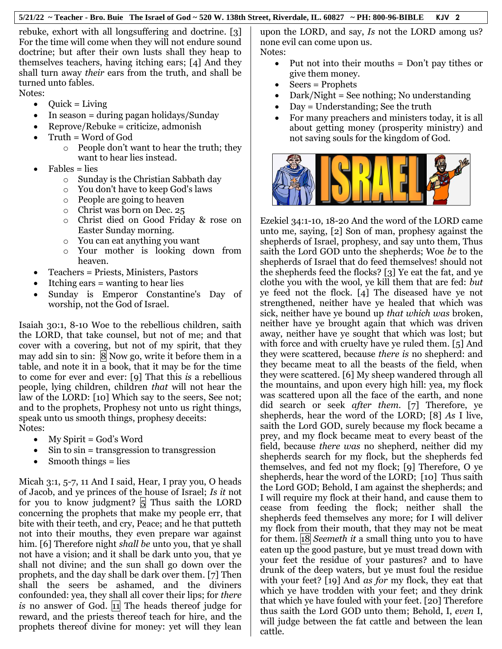rebuke, exhort with all longsuffering and doctrine. [3] For the time will come when they will not endure sound doctrine; but after their own lusts shall they heap to themselves teachers, having itching ears; [4] And they shall turn away *their* ears from the truth, and shall be turned unto fables.

Notes:

- $\bullet$  Quick = Living
- In season = during pagan holidays/Sunday
- Reprove/Rebuke = criticize, admonish
- Truth = Word of God
	- o People don't want to hear the truth; they want to hear lies instead.
- Fables = lies
	- o Sunday is the Christian Sabbath day
	- o You don't have to keep God's laws
	- o People are going to heaven
	- o Christ was born on Dec. 25
	- o Christ died on Good Friday & rose on Easter Sunday morning.
	- o You can eat anything you want
	- o Your mother is looking down from heaven.
- Teachers = Priests, Ministers, Pastors
- Itching ears = wanting to hear lies
- Sunday is Emperor Constantine's Day of worship, not the God of Israel.

Isaiah 30:1, 8-10 Woe to the rebellious children, saith the LORD, that take counsel, but not of me; and that cover with a covering, but not of my spirit, that they may add sin to sin:  $\vert 8 \vert$  Now go, write it before them in a table, and note it in a book, that it may be for the time to come for ever and ever: [9] That this *is* a rebellious people, lying children, children *that* will not hear the law of the LORD: [10] Which say to the seers, See not; and to the prophets, Prophesy not unto us right things, speak unto us smooth things, prophesy deceits: Notes:

- $\bullet$  My Spirit = God's Word
- Sin to sin = transgression to transgression
- Smooth things = lies

Micah 3:1, 5-7, 11 And I said, Hear, I pray you, O heads of Jacob, and ye princes of the house of Israel; *Is it* not for you to know judgment?  $\vert 5 \vert$  Thus saith the LORD concerning the prophets that make my people err, that bite with their teeth, and cry, Peace; and he that putteth not into their mouths, they even prepare war against him. [6] Therefore night *shall be* unto you, that ye shall not have a vision; and it shall be dark unto you, that ye shall not divine; and the sun shall go down over the prophets, and the day shall be dark over them. [7] Then shall the seers be ashamed, and the diviners confounded: yea, they shall all cover their lips; for *there is* no answer of God. 11 The heads thereof judge for reward, and the priests thereof teach for hire, and the prophets thereof divine for money: yet will they lean

upon the LORD, and say, *Is* not the LORD among us? none evil can come upon us. Notes:

- Put not into their mouths = Don't pay tithes or give them money.
- Seers = Prophets
- Dark/Night = See nothing; No understanding
- Day = Understanding; See the truth
- For many preachers and ministers today, it is all about getting money (prosperity ministry) and not saving souls for the kingdom of God.



Ezekiel 34:1-10, 18-20 And the word of the LORD came unto me, saying, [2] Son of man, prophesy against the shepherds of Israel, prophesy, and say unto them, Thus saith the Lord GOD unto the shepherds; Woe *be* to the shepherds of Israel that do feed themselves! should not the shepherds feed the flocks? [3] Ye eat the fat, and ye clothe you with the wool, ye kill them that are fed: *but* ye feed not the flock. [4] The diseased have ye not strengthened, neither have ye healed that which was sick, neither have ye bound up *that which was* broken, neither have ye brought again that which was driven away, neither have ye sought that which was lost; but with force and with cruelty have ye ruled them. [5] And they were scattered, because *there is* no shepherd: and they became meat to all the beasts of the field, when they were scattered. [6] My sheep wandered through all the mountains, and upon every high hill: yea, my flock was scattered upon all the face of the earth, and none did search or seek *after them.* [7] Therefore, ye shepherds, hear the word of the LORD; [8] *As* I live, saith the Lord GOD, surely because my flock became a prey, and my flock became meat to every beast of the field, because *there was* no shepherd, neither did my shepherds search for my flock, but the shepherds fed themselves, and fed not my flock; [9] Therefore, O ye shepherds, hear the word of the LORD; [10] Thus saith the Lord GOD; Behold, I am against the shepherds; and I will require my flock at their hand, and cause them to cease from feeding the flock; neither shall the shepherds feed themselves any more; for I will deliver my flock from their mouth, that they may not be meat for them. 18 *Seemeth it* a small thing unto you to have eaten up the good pasture, but ye must tread down with your feet the residue of your pastures? and to have drunk of the deep waters, but ye must foul the residue with your feet? [19] And *as for* my flock, they eat that which ye have trodden with your feet; and they drink that which ye have fouled with your feet. [20] Therefore thus saith the Lord GOD unto them; Behold, I, *even* I, will judge between the fat cattle and between the lean cattle.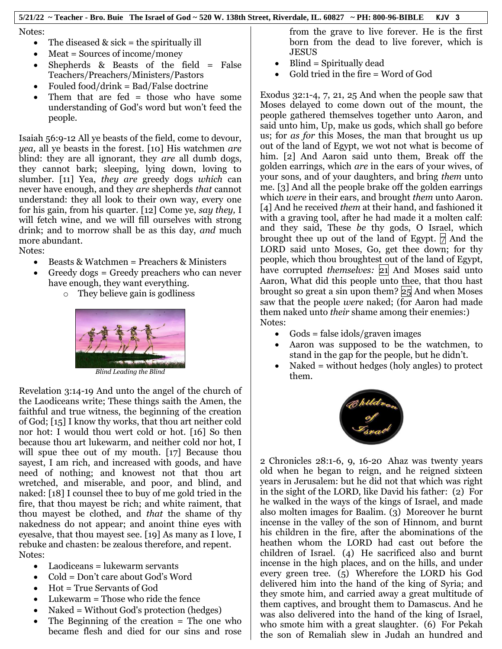Notes:

- The diseased  $\&$  sick = the spiritually ill
- Meat = Sources of income/money
- Shepherds  $\&$  Beasts of the field = False Teachers/Preachers/Ministers/Pastors
- Fouled food/drink = Bad/False doctrine
- Them that are fed = those who have some understanding of God's word but won't feed the people.

Isaiah 56:9-12 All ye beasts of the field, come to devour, *yea,* all ye beasts in the forest. [10] His watchmen *are* blind: they are all ignorant, they *are* all dumb dogs, they cannot bark; sleeping, lying down, loving to slumber. [11] Yea, *they are* greedy dogs *which* can never have enough, and they *are* shepherds *that* cannot understand: they all look to their own way, every one for his gain, from his quarter. [12] Come ye, *say they,* I will fetch wine, and we will fill ourselves with strong drink; and to morrow shall be as this day, *and* much more abundant.

Notes:

- Beasts & Watchmen = Preachers & Ministers
- Greedy dogs = Greedy preachers who can never have enough, they want everything.
	- o They believe gain is godliness



Revelation 3:14-19 And unto the angel of the church of the Laodiceans write; These things saith the Amen, the faithful and true witness, the beginning of the creation of God; [15] I know thy works, that thou art neither cold nor hot: I would thou wert cold or hot. [16] So then because thou art lukewarm, and neither cold nor hot, I will spue thee out of my mouth. [17] Because thou sayest, I am rich, and increased with goods, and have need of nothing; and knowest not that thou art wretched, and miserable, and poor, and blind, and naked: [18] I counsel thee to buy of me gold tried in the fire, that thou mayest be rich; and white raiment, that thou mayest be clothed, and *that* the shame of thy nakedness do not appear; and anoint thine eyes with eyesalve, that thou mayest see. [19] As many as I love, I rebuke and chasten: be zealous therefore, and repent. Notes:

- Laodiceans = lukewarm servants
- Cold = Don't care about God's Word
- Hot = True Servants of God
- Lukewarm = Those who ride the fence
- Naked = Without God's protection (hedges)
- The Beginning of the creation = The one who became flesh and died for our sins and rose

from the grave to live forever. He is the first born from the dead to live forever, which is JESUS

- Blind = Spiritually dead
- Gold tried in the fire = Word of God

Exodus 32:1-4, 7, 21, 25 And when the people saw that Moses delayed to come down out of the mount, the people gathered themselves together unto Aaron, and said unto him, Up, make us gods, which shall go before us; for *as for* this Moses, the man that brought us up out of the land of Egypt, we wot not what is become of him. [2] And Aaron said unto them, Break off the golden earrings, which *are* in the ears of your wives, of your sons, and of your daughters, and bring *them* unto me. [3] And all the people brake off the golden earrings which *were* in their ears, and brought *them* unto Aaron. [4] And he received *them* at their hand, and fashioned it with a graving tool, after he had made it a molten calf: and they said, These *be* thy gods, O Israel, which brought thee up out of the land of Egypt.  $\not\sqcap$  And the LORD said unto Moses, Go, get thee down; for thy people, which thou broughtest out of the land of Egypt, have corrupted *themselves*: 21 And Moses said unto Aaron, What did this people unto thee, that thou hast brought so great a sin upon them? 25 And when Moses saw that the people *were* naked; (for Aaron had made them naked unto *their* shame among their enemies:) Notes:

- Gods = false idols/graven images
- Aaron was supposed to be the watchmen, to stand in the gap for the people, but he didn't.
- Naked = without hedges (holy angles) to protect them.



2 Chronicles 28:1-6, 9, 16-20 Ahaz was twenty years old when he began to reign, and he reigned sixteen years in Jerusalem: but he did not that which was right in the sight of the LORD, like David his father: (2) For he walked in the ways of the kings of Israel, and made also molten images for Baalim. (3) Moreover he burnt incense in the valley of the son of Hinnom, and burnt his children in the fire, after the abominations of the heathen whom the LORD had cast out before the children of Israel. (4) He sacrificed also and burnt incense in the high places, and on the hills, and under every green tree. (5) Wherefore the LORD his God delivered him into the hand of the king of Syria; and they smote him, and carried away a great multitude of them captives, and brought them to Damascus. And he was also delivered into the hand of the king of Israel, who smote him with a great slaughter. (6) For Pekah the son of Remaliah slew in Judah an hundred and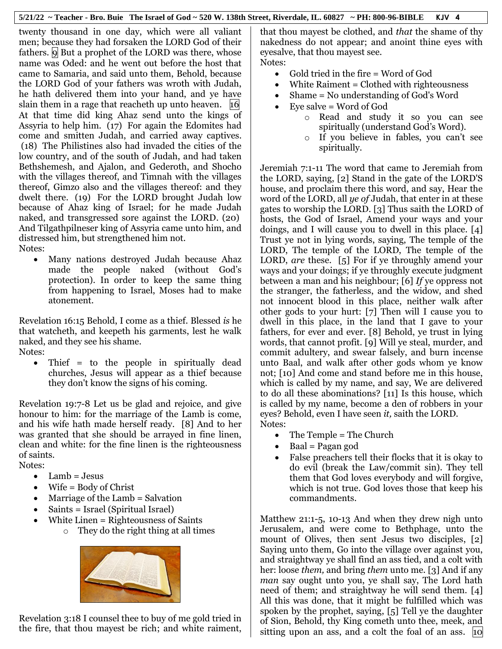twenty thousand in one day, which were all valiant men; because they had forsaken the LORD God of their fathers. **9** But a prophet of the LORD was there, whose name was Oded: and he went out before the host that came to Samaria, and said unto them, Behold, because the LORD God of your fathers was wroth with Judah, he hath delivered them into your hand, and ye have slain them in a rage that reacheth up unto heaven.  $\vert 16 \vert$ At that time did king Ahaz send unto the kings of Assyria to help him. (17) For again the Edomites had come and smitten Judah, and carried away captives. (18) The Philistines also had invaded the cities of the low country, and of the south of Judah, and had taken Bethshemesh, and Ajalon, and Gederoth, and Shocho with the villages thereof, and Timnah with the villages thereof, Gimzo also and the villages thereof: and they dwelt there. (19) For the LORD brought Judah low because of Ahaz king of Israel; for he made Judah naked, and transgressed sore against the LORD. (20) And Tilgathpilneser king of Assyria came unto him, and distressed him, but strengthened him not. Notes:

 Many nations destroyed Judah because Ahaz made the people naked (without God's protection). In order to keep the same thing from happening to Israel, Moses had to make atonement.

Revelation 16:15 Behold, I come as a thief. Blessed *is* he that watcheth, and keepeth his garments, lest he walk naked, and they see his shame. Notes:

 Thief = to the people in spiritually dead churches, Jesus will appear as a thief because they don't know the signs of his coming.

Revelation 19:7-8 Let us be glad and rejoice, and give honour to him: for the marriage of the Lamb is come, and his wife hath made herself ready. [8] And to her was granted that she should be arrayed in fine linen, clean and white: for the fine linen is the righteousness of saints.

Notes:

- $\bullet$  Lamb = Jesus
- Wife = Body of Christ
- Marriage of the Lamb = Salvation
- Saints = Israel (Spiritual Israel)
- White Linen = Righteousness of Saints
	- o They do the right thing at all times



Revelation 3:18 I counsel thee to buy of me gold tried in the fire, that thou mayest be rich; and white raiment,

that thou mayest be clothed, and *that* the shame of thy nakedness do not appear; and anoint thine eyes with eyesalve, that thou mayest see. Notes:

- Gold tried in the fire  $=$  Word of God
- White Raiment = Clothed with righteousness
- Shame = No understanding of God's Word
- Eye salve = Word of God
	- o Read and study it so you can see spiritually (understand God's Word).
	- o If you believe in fables, you can't see spiritually.

Jeremiah 7:1-11 The word that came to Jeremiah from the LORD, saying, [2] Stand in the gate of the LORD'S house, and proclaim there this word, and say, Hear the word of the LORD, all *ye of* Judah, that enter in at these gates to worship the LORD. [3] Thus saith the LORD of hosts, the God of Israel, Amend your ways and your doings, and I will cause you to dwell in this place. [4] Trust ye not in lying words, saying, The temple of the LORD, The temple of the LORD, The temple of the LORD, *are* these. [5] For if ye throughly amend your ways and your doings; if ye throughly execute judgment between a man and his neighbour; [6] *If* ye oppress not the stranger, the fatherless, and the widow, and shed not innocent blood in this place, neither walk after other gods to your hurt: [7] Then will I cause you to dwell in this place, in the land that I gave to your fathers, for ever and ever. [8] Behold, ye trust in lying words, that cannot profit. [9] Will ye steal, murder, and commit adultery, and swear falsely, and burn incense unto Baal, and walk after other gods whom ye know not; [10] And come and stand before me in this house, which is called by my name, and say, We are delivered to do all these abominations? [11] Is this house, which is called by my name, become a den of robbers in your eyes? Behold, even I have seen *it,* saith the LORD. Notes:

- The Temple = The Church
- Baal = Pagan god
- False preachers tell their flocks that it is okay to do evil (break the Law/commit sin). They tell them that God loves everybody and will forgive, which is not true. God loves those that keep his commandments.

Matthew 21:1-5, 10-13 And when they drew nigh unto Jerusalem, and were come to Bethphage, unto the mount of Olives, then sent Jesus two disciples, [2] Saying unto them, Go into the village over against you, and straightway ye shall find an ass tied, and a colt with her: loose *them,* and bring *them* unto me. [3] And if any *man* say ought unto you, ye shall say, The Lord hath need of them; and straightway he will send them. [4] All this was done, that it might be fulfilled which was spoken by the prophet, saying, [5] Tell ye the daughter of Sion, Behold, thy King cometh unto thee, meek, and sitting upon an ass, and a colt the foal of an ass. 10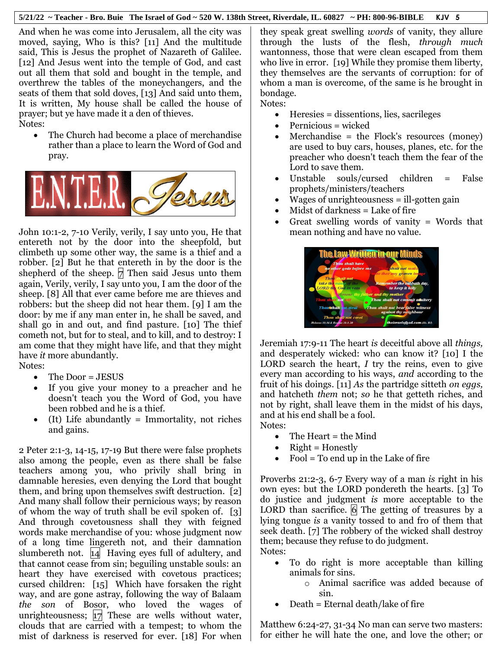And when he was come into Jerusalem, all the city was moved, saying, Who is this? [11] And the multitude said, This is Jesus the prophet of Nazareth of Galilee. [12] And Jesus went into the temple of God, and cast out all them that sold and bought in the temple, and overthrew the tables of the moneychangers, and the seats of them that sold doves, [13] And said unto them, It is written, My house shall be called the house of prayer; but ye have made it a den of thieves. Notes:

• The Church had become a place of merchandise rather than a place to learn the Word of God and pray.



John 10:1-2, 7-10 Verily, verily, I say unto you, He that entereth not by the door into the sheepfold, but climbeth up some other way, the same is a thief and a robber. [2] But he that entereth in by the door is the shepherd of the sheep.  $\nabla$  Then said Jesus unto them again, Verily, verily, I say unto you, I am the door of the sheep. [8] All that ever came before me are thieves and robbers: but the sheep did not hear them. [9] I am the door: by me if any man enter in, he shall be saved, and shall go in and out, and find pasture. [10] The thief cometh not, but for to steal, and to kill, and to destroy: I am come that they might have life, and that they might have *it* more abundantly.

- Notes:
	- The Door = JESUS
	- If you give your money to a preacher and he doesn't teach you the Word of God, you have been robbed and he is a thief.
	- (It) Life abundantly = Immortality, not riches and gains.

2 Peter 2:1-3, 14-15, 17-19 But there were false prophets also among the people, even as there shall be false teachers among you, who privily shall bring in damnable heresies, even denying the Lord that bought them, and bring upon themselves swift destruction. [2] And many shall follow their pernicious ways; by reason of whom the way of truth shall be evil spoken of. [3] And through covetousness shall they with feigned words make merchandise of you: whose judgment now of a long time lingereth not, and their damnation slumbereth not. 14 Having eyes full of adultery, and that cannot cease from sin; beguiling unstable souls: an heart they have exercised with covetous practices; cursed children: [15] Which have forsaken the right way, and are gone astray, following the way of Balaam *the son* of Bosor, who loved the wages of unrighteousness;  $|17|$  These are wells without water, clouds that are carried with a tempest; to whom the mist of darkness is reserved for ever. [18] For when

they speak great swelling *words* of vanity, they allure through the lusts of the flesh, *through much* wantonness, those that were clean escaped from them who live in error. [19] While they promise them liberty, they themselves are the servants of corruption: for of whom a man is overcome, of the same is he brought in bondage.

Notes:

- Heresies = dissentions, lies, sacrileges
- Pernicious = wicked
- Merchandise = the Flock's resources (money) are used to buy cars, houses, planes, etc. for the preacher who doesn't teach them the fear of the Lord to save them.
- Unstable souls/cursed children = False prophets/ministers/teachers
- Wages of unrighteousness = ill-gotten gain
- Midst of darkness = Lake of fire
- Great swelling words of vanity = Words that mean nothing and have no value.



Jeremiah 17:9-11 The heart *is* deceitful above all *things,* and desperately wicked: who can know it? [10] I the LORD search the heart, *I* try the reins, even to give every man according to his ways, *and* according to the fruit of his doings. [11] *As* the partridge sitteth *on eggs,* and hatcheth *them* not; *so* he that getteth riches, and not by right, shall leave them in the midst of his days, and at his end shall be a fool. Notes:

- The Heart = the Mind
- Right = Honestly
- $\bullet$  Fool = To end up in the Lake of fire

Proverbs 21:2-3, 6-7 Every way of a man *is* right in his own eyes: but the LORD pondereth the hearts. [3] To do justice and judgment *is* more acceptable to the LORD than sacrifice.  $\overline{6}$  The getting of treasures by a lying tongue *is* a vanity tossed to and fro of them that seek death. [7] The robbery of the wicked shall destroy them; because they refuse to do judgment. Notes:

- To do right is more acceptable than killing animals for sins.
	- o Animal sacrifice was added because of sin.
- Death = Eternal death/lake of fire

Matthew 6:24-27, 31-34 No man can serve two masters: for either he will hate the one, and love the other; or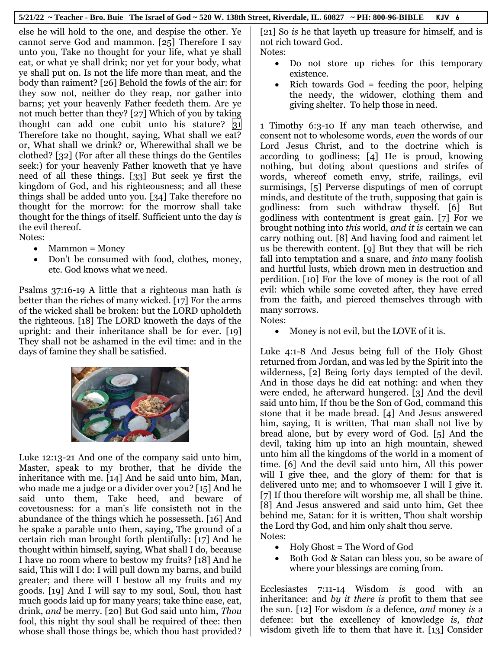else he will hold to the one, and despise the other. Ye cannot serve God and mammon. [25] Therefore I say unto you, Take no thought for your life, what ye shall eat, or what ye shall drink; nor yet for your body, what ye shall put on. Is not the life more than meat, and the body than raiment? [26] Behold the fowls of the air: for they sow not, neither do they reap, nor gather into barns; yet your heavenly Father feedeth them. Are ye not much better than they? [27] Which of you by taking thought can add one cubit unto his stature?  $|31|$ Therefore take no thought, saying, What shall we eat? or, What shall we drink? or, Wherewithal shall we be clothed? [32] (For after all these things do the Gentiles seek:) for your heavenly Father knoweth that ye have need of all these things. [33] But seek ye first the kingdom of God, and his righteousness; and all these things shall be added unto you. [34] Take therefore no thought for the morrow: for the morrow shall take thought for the things of itself. Sufficient unto the day *is* the evil thereof. Notes:

- $•$  Mammon = Money
- Don't be consumed with food, clothes, money, etc. God knows what we need.

Psalms 37:16-19 A little that a righteous man hath *is* better than the riches of many wicked. [17] For the arms of the wicked shall be broken: but the LORD upholdeth the righteous. [18] The LORD knoweth the days of the upright: and their inheritance shall be for ever. [19] They shall not be ashamed in the evil time: and in the days of famine they shall be satisfied.



Luke 12:13-21 And one of the company said unto him, Master, speak to my brother, that he divide the inheritance with me. [14] And he said unto him, Man, who made me a judge or a divider over you? [15] And he said unto them, Take heed, and beware of covetousness: for a man's life consisteth not in the abundance of the things which he possesseth. [16] And he spake a parable unto them, saying, The ground of a certain rich man brought forth plentifully: [17] And he thought within himself, saying, What shall I do, because I have no room where to bestow my fruits? [18] And he said, This will I do: I will pull down my barns, and build greater; and there will I bestow all my fruits and my goods. [19] And I will say to my soul, Soul, thou hast much goods laid up for many years; take thine ease, eat, drink, *and* be merry. [20] But God said unto him, *Thou* fool, this night thy soul shall be required of thee: then whose shall those things be, which thou hast provided?

[21] So *is* he that layeth up treasure for himself, and is not rich toward God. Notes:

- Do not store up riches for this temporary existence.
- Rich towards God = feeding the poor, helping the needy, the widower, clothing them and giving shelter. To help those in need.

1 Timothy 6:3-10 If any man teach otherwise, and consent not to wholesome words, *even* the words of our Lord Jesus Christ, and to the doctrine which is according to godliness; [4] He is proud, knowing nothing, but doting about questions and strifes of words, whereof cometh envy, strife, railings, evil surmisings, [5] Perverse disputings of men of corrupt minds, and destitute of the truth, supposing that gain is godliness: from such withdraw thyself. [6] But godliness with contentment is great gain. [7] For we brought nothing into *this* world, *and it is* certain we can carry nothing out. [8] And having food and raiment let us be therewith content. [9] But they that will be rich fall into temptation and a snare, and *into* many foolish and hurtful lusts, which drown men in destruction and perdition. [10] For the love of money is the root of all evil: which while some coveted after, they have erred from the faith, and pierced themselves through with many sorrows. Notes:

• Money is not evil, but the LOVE of it is.

Luke 4:1-8 And Jesus being full of the Holy Ghost returned from Jordan, and was led by the Spirit into the wilderness, [2] Being forty days tempted of the devil. And in those days he did eat nothing: and when they were ended, he afterward hungered. [3] And the devil said unto him, If thou be the Son of God, command this stone that it be made bread. [4] And Jesus answered him, saying, It is written, That man shall not live by bread alone, but by every word of God. [5] And the devil, taking him up into an high mountain, shewed unto him all the kingdoms of the world in a moment of time. [6] And the devil said unto him, All this power will I give thee, and the glory of them: for that is delivered unto me; and to whomsoever I will I give it. [7] If thou therefore wilt worship me, all shall be thine. [8] And Jesus answered and said unto him, Get thee behind me, Satan: for it is written, Thou shalt worship the Lord thy God, and him only shalt thou serve. Notes:

- Holy Ghost = The Word of God
- Both God & Satan can bless you, so be aware of where your blessings are coming from.

Ecclesiastes 7:11-14 Wisdom *is* good with an inheritance: and *by it there is* profit to them that see the sun. [12] For wisdom *is* a defence, *and* money *is* a defence: but the excellency of knowledge *is, that* wisdom giveth life to them that have it. [13] Consider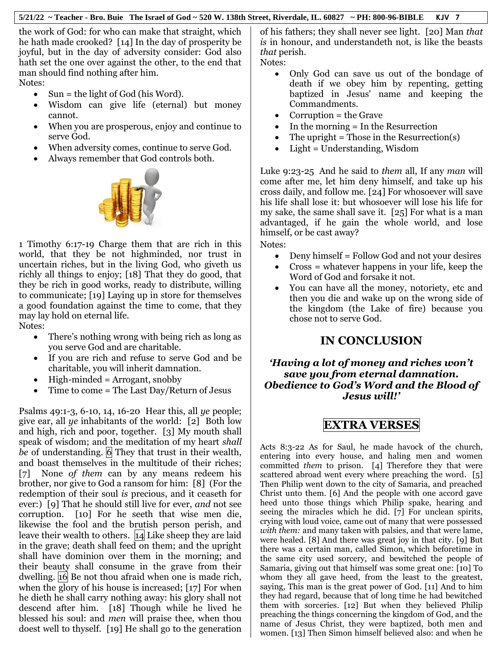the work of God: for who can make that straight, which he hath made crooked? [14] In the day of prosperity be joyful, but in the day of adversity consider: God also hath set the one over against the other, to the end that man should find nothing after him. Notes:

- $\bullet$  Sun = the light of God (his Word).
- Wisdom can give life (eternal) but money cannot.
- When you are prosperous, enjoy and continue to serve God.
- When adversity comes, continue to serve God.
- Always remember that God controls both.



1 Timothy 6:17-19 Charge them that are rich in this world, that they be not highminded, nor trust in uncertain riches, but in the living God, who giveth us richly all things to enjoy; [18] That they do good, that they be rich in good works, ready to distribute, willing to communicate; [19] Laying up in store for themselves a good foundation against the time to come, that they may lay hold on eternal life.

Notes:

- There's nothing wrong with being rich as long as you serve God and are charitable.
- If you are rich and refuse to serve God and be charitable, you will inherit damnation.
- High-minded = Arrogant, snobby
- Time to come = The Last Day/Return of Jesus

Psalms 49:1-3, 6-10, 14, 16-20 Hear this, all *ye* people; give ear, all *ye* inhabitants of the world: [2] Both low and high, rich and poor, together. [3] My mouth shall speak of wisdom; and the meditation of my heart *shall be* of understanding. 6 They that trust in their wealth, and boast themselves in the multitude of their riches; [7] None *of them* can by any means redeem his brother, nor give to God a ransom for him: [8] (For the redemption of their soul *is* precious, and it ceaseth for ever:) [9] That he should still live for ever, *and* not see corruption. [10] For he seeth that wise men die, likewise the fool and the brutish person perish, and leave their wealth to others. 14 Like sheep they are laid in the grave; death shall feed on them; and the upright shall have dominion over them in the morning; and their beauty shall consume in the grave from their dwelling. 16 Be not thou afraid when one is made rich, when the glory of his house is increased; [17] For when he dieth he shall carry nothing away: his glory shall not descend after him. [18] Though while he lived he blessed his soul: and *men* will praise thee, when thou doest well to thyself. [19] He shall go to the generation

of his fathers; they shall never see light. [20] Man *that is* in honour, and understandeth not, is like the beasts *that* perish.

- Notes:
	- Only God can save us out of the bondage of death if we obey him by repenting, getting baptized in Jesus' name and keeping the Commandments.
	- Corruption = the Grave
	- In the morning = In the Resurrection
	- The upright  $=$  Those in the Resurrection(s)
	- Light = Understanding, Wisdom

Luke 9:23-25 And he said to *them* all, If any *man* will come after me, let him deny himself, and take up his cross daily, and follow me. [24] For whosoever will save his life shall lose it: but whosoever will lose his life for my sake, the same shall save it. [25] For what is a man advantaged, if he gain the whole world, and lose himself, or be cast away?

Notes:

- Deny himself = Follow God and not your desires
- Cross = whatever happens in your life, keep the Word of God and forsake it not.
- You can have all the money, notoriety, etc and then you die and wake up on the wrong side of the kingdom (the Lake of fire) because you chose not to serve God.

# **IN CONCLUSION**

# *'Having a lot of money and riches won't save you from eternal damnation. Obedience to God's Word and the Blood of Jesus will!'*

# **EXTRA VERSES**

Acts 8:3-22 As for Saul, he made havock of the church, entering into every house, and haling men and women committed *them* to prison. [4] Therefore they that were scattered abroad went every where preaching the word. [5] Then Philip went down to the city of Samaria, and preached Christ unto them. [6] And the people with one accord gave heed unto those things which Philip spake, hearing and seeing the miracles which he did. [7] For unclean spirits, crying with loud voice, came out of many that were possessed *with them:* and many taken with palsies, and that were lame, were healed. [8] And there was great joy in that city. [9] But there was a certain man, called Simon, which beforetime in the same city used sorcery, and bewitched the people of Samaria, giving out that himself was some great one: [10] To whom they all gave heed, from the least to the greatest, saying, This man is the great power of God. [11] And to him they had regard, because that of long time he had bewitched them with sorceries. [12] But when they believed Philip preaching the things concerning the kingdom of God, and the name of Jesus Christ, they were baptized, both men and women. [13] Then Simon himself believed also: and when he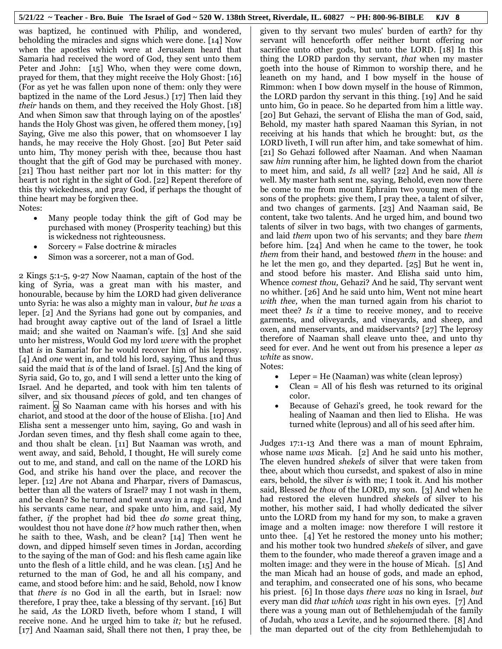was baptized, he continued with Philip, and wondered, beholding the miracles and signs which were done. [14] Now when the apostles which were at Jerusalem heard that Samaria had received the word of God, they sent unto them Peter and John: [15] Who, when they were come down, prayed for them, that they might receive the Holy Ghost: [16] (For as yet he was fallen upon none of them: only they were baptized in the name of the Lord Jesus.) [17] Then laid they *their* hands on them, and they received the Holy Ghost. [18] And when Simon saw that through laying on of the apostles' hands the Holy Ghost was given, he offered them money, [19] Saying, Give me also this power, that on whomsoever I lay hands, he may receive the Holy Ghost. [20] But Peter said unto him, Thy money perish with thee, because thou hast thought that the gift of God may be purchased with money. [21] Thou hast neither part nor lot in this matter: for thy heart is not right in the sight of God. [22] Repent therefore of this thy wickedness, and pray God, if perhaps the thought of thine heart may be forgiven thee. Notes:

- Many people today think the gift of God may be purchased with money (Prosperity teaching) but this is wickedness not righteousness.
- Sorcery = False doctrine & miracles
- Simon was a sorcerer, not a man of God.

2 Kings 5:1-5, 9-27 Now Naaman, captain of the host of the king of Syria, was a great man with his master, and honourable, because by him the LORD had given deliverance unto Syria: he was also a mighty man in valour, *but he was* a leper. [2] And the Syrians had gone out by companies, and had brought away captive out of the land of Israel a little maid; and she waited on Naaman's wife. [3] And she said unto her mistress, Would God my lord *were* with the prophet that *is* in Samaria! for he would recover him of his leprosy. [4] And *one* went in, and told his lord, saying, Thus and thus said the maid that *is* of the land of Israel. [5] And the king of Syria said, Go to, go, and I will send a letter unto the king of Israel. And he departed, and took with him ten talents of silver, and six thousand *pieces* of gold, and ten changes of raiment.  $\left| 9 \right|$  So Naaman came with his horses and with his chariot, and stood at the door of the house of Elisha. [10] And Elisha sent a messenger unto him, saying, Go and wash in Jordan seven times, and thy flesh shall come again to thee, and thou shalt be clean. [11] But Naaman was wroth, and went away, and said, Behold, I thought, He will surely come out to me, and stand, and call on the name of the LORD his God, and strike his hand over the place, and recover the leper. [12] *Are* not Abana and Pharpar, rivers of Damascus, better than all the waters of Israel? may I not wash in them, and be clean? So he turned and went away in a rage. [13] And his servants came near, and spake unto him, and said, My father, *if* the prophet had bid thee *do some* great thing, wouldest thou not have done *it?* how much rather then, when he saith to thee, Wash, and be clean? [14] Then went he down, and dipped himself seven times in Jordan, according to the saying of the man of God: and his flesh came again like unto the flesh of a little child, and he was clean. [15] And he returned to the man of God, he and all his company, and came, and stood before him: and he said, Behold, now I know that *there is* no God in all the earth, but in Israel: now therefore, I pray thee, take a blessing of thy servant. [16] But he said, *As* the LORD liveth, before whom I stand, I will receive none. And he urged him to take *it;* but he refused. [17] And Naaman said, Shall there not then, I pray thee, be

given to thy servant two mules' burden of earth? for thy servant will henceforth offer neither burnt offering nor sacrifice unto other gods, but unto the LORD. [18] In this thing the LORD pardon thy servant, *that* when my master goeth into the house of Rimmon to worship there, and he leaneth on my hand, and I bow myself in the house of Rimmon: when I bow down myself in the house of Rimmon, the LORD pardon thy servant in this thing. [19] And he said unto him, Go in peace. So he departed from him a little way. [20] But Gehazi, the servant of Elisha the man of God, said, Behold, my master hath spared Naaman this Syrian, in not receiving at his hands that which he brought: but, *as* the LORD liveth, I will run after him, and take somewhat of him. [21] So Gehazi followed after Naaman. And when Naaman saw *him* running after him, he lighted down from the chariot to meet him, and said, *Is* all well? [22] And he said, All *is* well. My master hath sent me, saying, Behold, even now there be come to me from mount Ephraim two young men of the sons of the prophets: give them, I pray thee, a talent of silver, and two changes of garments. [23] And Naaman said, Be content, take two talents. And he urged him, and bound two talents of silver in two bags, with two changes of garments, and laid *them* upon two of his servants; and they bare *them* before him. [24] And when he came to the tower, he took *them* from their hand, and bestowed *them* in the house: and he let the men go, and they departed. [25] But he went in, and stood before his master. And Elisha said unto him, Whence *comest thou,* Gehazi? And he said, Thy servant went no whither. [26] And he said unto him, Went not mine heart *with thee,* when the man turned again from his chariot to meet thee? *Is it* a time to receive money, and to receive garments, and oliveyards, and vineyards, and sheep, and oxen, and menservants, and maidservants? [27] The leprosy therefore of Naaman shall cleave unto thee, and unto thy seed for ever. And he went out from his presence a leper *as white* as snow. Notes:

- Leper = He (Naaman) was white (clean leprosy)
- Clean = All of his flesh was returned to its original color.
- Because of Gehazi's greed, he took reward for the healing of Naaman and then lied to Elisha. He was turned white (leprous) and all of his seed after him.

Judges 17:1-13 And there was a man of mount Ephraim, whose name *was* Micah. [2] And he said unto his mother, The eleven hundred *shekels* of silver that were taken from thee, about which thou cursedst, and spakest of also in mine ears, behold, the silver *is* with me; I took it. And his mother said, Blessed *be thou* of the LORD, my son. [3] And when he had restored the eleven hundred *shekels* of silver to his mother, his mother said, I had wholly dedicated the silver unto the LORD from my hand for my son, to make a graven image and a molten image: now therefore I will restore it unto thee. [4] Yet he restored the money unto his mother; and his mother took two hundred *shekels* of silver, and gave them to the founder, who made thereof a graven image and a molten image: and they were in the house of Micah. [5] And the man Micah had an house of gods, and made an ephod, and teraphim, and consecrated one of his sons, who became his priest. [6] In those days *there was* no king in Israel, *but* every man did *that which was* right in his own eyes. [7] And there was a young man out of Bethlehemjudah of the family of Judah, who *was* a Levite, and he sojourned there. [8] And the man departed out of the city from Bethlehemjudah to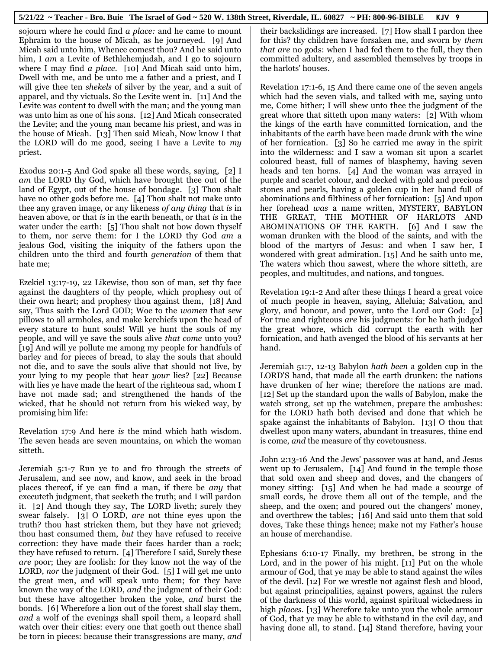sojourn where he could find *a place:* and he came to mount Ephraim to the house of Micah, as he journeyed. [9] And Micah said unto him, Whence comest thou? And he said unto him, I *am* a Levite of Bethlehemjudah, and I go to sojourn where I may find *a place.* [10] And Micah said unto him, Dwell with me, and be unto me a father and a priest, and I will give thee ten *shekels* of silver by the year, and a suit of apparel, and thy victuals. So the Levite went in. [11] And the Levite was content to dwell with the man; and the young man was unto him as one of his sons. [12] And Micah consecrated the Levite; and the young man became his priest, and was in the house of Micah. [13] Then said Micah, Now know I that the LORD will do me good, seeing I have a Levite to *my* priest.

Exodus 20:1-5 And God spake all these words, saying, [2] I *am* the LORD thy God, which have brought thee out of the land of Egypt, out of the house of bondage. [3] Thou shalt have no other gods before me. [4] Thou shalt not make unto thee any graven image, or any likeness *of any thing* that *is* in heaven above, or that *is* in the earth beneath, or that *is* in the water under the earth: [5] Thou shalt not bow down thyself to them, nor serve them: for I the LORD thy God *am* a jealous God, visiting the iniquity of the fathers upon the children unto the third and fourth *generation* of them that hate me;

Ezekiel 13:17-19, 22 Likewise, thou son of man, set thy face against the daughters of thy people, which prophesy out of their own heart; and prophesy thou against them, [18] And say, Thus saith the Lord GOD; Woe to the *women* that sew pillows to all armholes, and make kerchiefs upon the head of every stature to hunt souls! Will ye hunt the souls of my people, and will ye save the souls alive *that come* unto you? [19] And will ye pollute me among my people for handfuls of barley and for pieces of bread, to slay the souls that should not die, and to save the souls alive that should not live, by your lying to my people that hear *your* lies? [22] Because with lies ye have made the heart of the righteous sad, whom I have not made sad; and strengthened the hands of the wicked, that he should not return from his wicked way, by promising him life:

Revelation 17:9 And here *is* the mind which hath wisdom. The seven heads are seven mountains, on which the woman sitteth.

Jeremiah 5:1-7 Run ye to and fro through the streets of Jerusalem, and see now, and know, and seek in the broad places thereof, if ye can find a man, if there be *any* that executeth judgment, that seeketh the truth; and I will pardon it. [2] And though they say, The LORD liveth; surely they swear falsely. [3] O LORD, *are* not thine eyes upon the truth? thou hast stricken them, but they have not grieved; thou hast consumed them, *but* they have refused to receive correction: they have made their faces harder than a rock; they have refused to return. [4] Therefore I said, Surely these *are* poor; they are foolish: for they know not the way of the LORD, *nor* the judgment of their God. [5] I will get me unto the great men, and will speak unto them; for they have known the way of the LORD, *and* the judgment of their God: but these have altogether broken the yoke, *and* burst the bonds. [6] Wherefore a lion out of the forest shall slay them, *and* a wolf of the evenings shall spoil them, a leopard shall watch over their cities: every one that goeth out thence shall be torn in pieces: because their transgressions are many, *and* their backslidings are increased. [7] How shall I pardon thee for this? thy children have forsaken me, and sworn by *them that are* no gods: when I had fed them to the full, they then committed adultery, and assembled themselves by troops in the harlots' houses.

Revelation 17:1-6, 15 And there came one of the seven angels which had the seven vials, and talked with me, saying unto me, Come hither; I will shew unto thee the judgment of the great whore that sitteth upon many waters: [2] With whom the kings of the earth have committed fornication, and the inhabitants of the earth have been made drunk with the wine of her fornication. [3] So he carried me away in the spirit into the wilderness: and I saw a woman sit upon a scarlet coloured beast, full of names of blasphemy, having seven heads and ten horns. [4] And the woman was arrayed in purple and scarlet colour, and decked with gold and precious stones and pearls, having a golden cup in her hand full of abominations and filthiness of her fornication: [5] And upon her forehead *was* a name written, MYSTERY, BABYLON THE GREAT, THE MOTHER OF HARLOTS AND ABOMINATIONS OF THE EARTH. [6] And I saw the woman drunken with the blood of the saints, and with the blood of the martyrs of Jesus: and when I saw her, I wondered with great admiration. [15] And he saith unto me, The waters which thou sawest, where the whore sitteth, are peoples, and multitudes, and nations, and tongues.

Revelation 19:1-2 And after these things I heard a great voice of much people in heaven, saying, Alleluia; Salvation, and glory, and honour, and power, unto the Lord our God: [2] For true and righteous *are* his judgments: for he hath judged the great whore, which did corrupt the earth with her fornication, and hath avenged the blood of his servants at her hand.

Jeremiah 51:7, 12-13 Babylon *hath been* a golden cup in the LORD'S hand, that made all the earth drunken: the nations have drunken of her wine; therefore the nations are mad. [12] Set up the standard upon the walls of Babylon, make the watch strong, set up the watchmen, prepare the ambushes: for the LORD hath both devised and done that which he spake against the inhabitants of Babylon. [13] O thou that dwellest upon many waters, abundant in treasures, thine end is come, *and* the measure of thy covetousness.

John 2:13-16 And the Jews' passover was at hand, and Jesus went up to Jerusalem, [14] And found in the temple those that sold oxen and sheep and doves, and the changers of money sitting: [15] And when he had made a scourge of small cords, he drove them all out of the temple, and the sheep, and the oxen; and poured out the changers' money, and overthrew the tables; [16] And said unto them that sold doves, Take these things hence; make not my Father's house an house of merchandise.

Ephesians 6:10-17 Finally, my brethren, be strong in the Lord, and in the power of his might. [11] Put on the whole armour of God, that ye may be able to stand against the wiles of the devil. [12] For we wrestle not against flesh and blood, but against principalities, against powers, against the rulers of the darkness of this world, against spiritual wickedness in high *places*. [13] Wherefore take unto you the whole armour of God, that ye may be able to withstand in the evil day, and having done all, to stand. [14] Stand therefore, having your